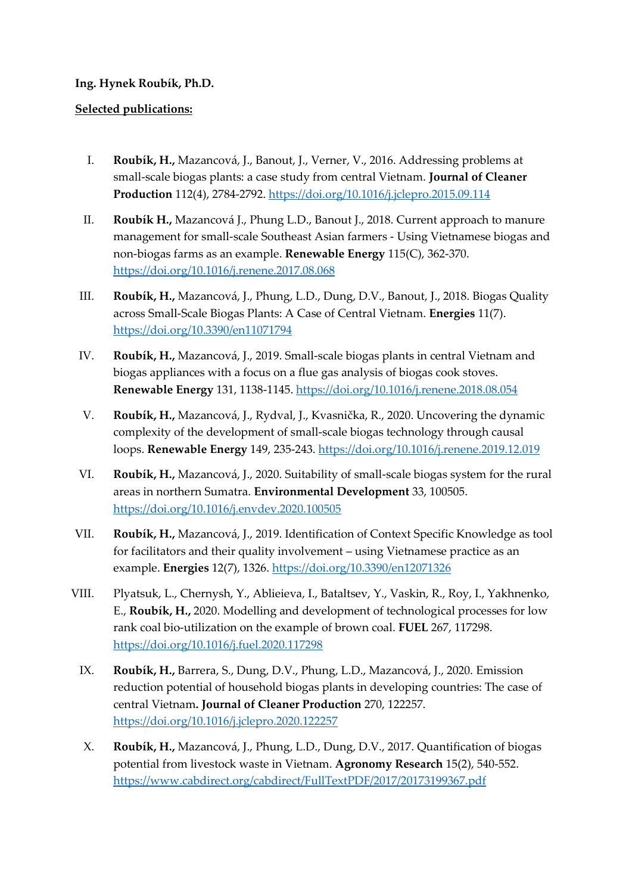## **Ing. Hynek Roubík, Ph.D.**

## **Selected publications:**

- I. **Roubík, H.,** Mazancová, J., Banout, J., Verner, V., 2016. Addressing problems at small-scale biogas plants: a case study from central Vietnam. **Journal of Cleaner Production** 112(4), 2784-2792.<https://doi.org/10.1016/j.jclepro.2015.09.114>
- II. **Roubík H.,** Mazancová J., Phung L.D., Banout J., 2018. Current approach to manure management for small-scale Southeast Asian farmers - Using Vietnamese biogas and non-biogas farms as an example. **Renewable Energy** 115(C), 362-370. <https://doi.org/10.1016/j.renene.2017.08.068>
- III. **Roubík, H.,** Mazancová, J., Phung, L.D., Dung, D.V., Banout, J., 2018. Biogas Quality across Small-Scale Biogas Plants: A Case of Central Vietnam. **Energies** 11(7). <https://doi.org/10.3390/en11071794>
- IV. **Roubík, H.,** Mazancová, J., 2019. Small-scale biogas plants in central Vietnam and biogas appliances with a focus on a flue gas analysis of biogas cook stoves. **Renewable Energy** 131, 1138-1145.<https://doi.org/10.1016/j.renene.2018.08.054>
- V. **Roubík, H.,** Mazancová, J., Rydval, J., Kvasnička, R., 2020. Uncovering the dynamic complexity of the development of small-scale biogas technology through causal loops. **Renewable Energy** 149, 235-243.<https://doi.org/10.1016/j.renene.2019.12.019>
- VI. **Roubík, H.,** Mazancová, J., 2020. Suitability of small-scale biogas system for the rural areas in northern Sumatra. **Environmental Development** 33, 100505. <https://doi.org/10.1016/j.envdev.2020.100505>
- VII. **Roubík, H.,** Mazancová, J., 2019. Identification of Context Specific Knowledge as tool for facilitators and their quality involvement – using Vietnamese practice as an example. **Energies** 12(7), 1326.<https://doi.org/10.3390/en12071326>
- VIII. Plyatsuk, L., Chernysh, Y., Ablieieva, I., Bataltsev, Y., Vaskin, R., Roy, I., Yakhnenko, E., **Roubík, H.,** 2020. Modelling and development of technological processes for low rank coal bio-utilization on the example of brown coal. **FUEL** 267, 117298. <https://doi.org/10.1016/j.fuel.2020.117298>
	- IX. **Roubík, H.,** Barrera, S., Dung, D.V., Phung, L.D., Mazancová, J., 2020. Emission reduction potential of household biogas plants in developing countries: The case of central Vietnam**. Journal of Cleaner Production** 270, 122257. <https://doi.org/10.1016/j.jclepro.2020.122257>
	- X. **Roubík, H.,** Mazancová, J., Phung, L.D., Dung, D.V., 2017. Quantification of biogas potential from livestock waste in Vietnam. **Agronomy Research** 15(2), 540-552. <https://www.cabdirect.org/cabdirect/FullTextPDF/2017/20173199367.pdf>